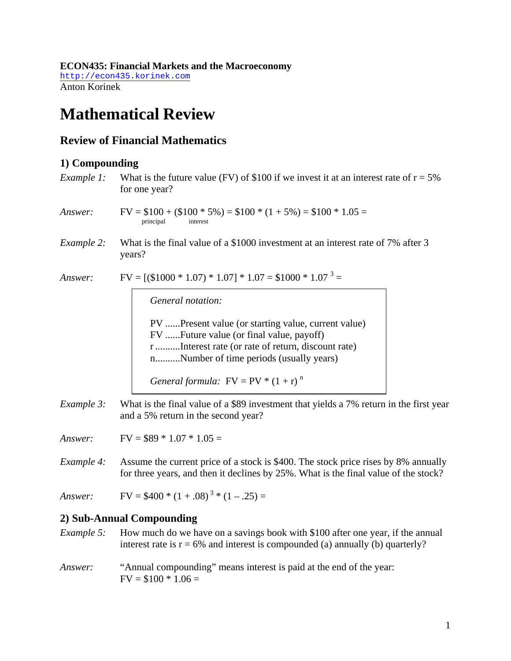## **ECON435: Financial Markets and the Macroeconomy**

http://econ435.korinek.com Anton Korinek

# **Mathematical Review**

# **Review of Financial Mathematics**

## **1) Compounding**

| Example 1: | What is the future value (FV) of \$100 if we invest it at an interest rate of $r = 5\%$<br>for one year?                                                                                                                                                       |  |  |  |
|------------|----------------------------------------------------------------------------------------------------------------------------------------------------------------------------------------------------------------------------------------------------------------|--|--|--|
| Answer:    | $FV = $100 + ($100 * 5\%) = $100 * (1 + 5\%) = $100 * 1.05 =$<br>principal<br>interest                                                                                                                                                                         |  |  |  |
| Example 2: | What is the final value of a \$1000 investment at an interest rate of 7% after 3<br>years?                                                                                                                                                                     |  |  |  |
| Answer:    | $FV = [(\$1000 * 1.07) * 1.07] * 1.07 = \$1000 * 1.07^3 =$                                                                                                                                                                                                     |  |  |  |
|            | General notation:<br>PV Present value (or starting value, current value)<br>FV Future value (or final value, payoff)<br>rInterest rate (or rate of return, discount rate)<br>nNumber of time periods (usually years)<br>General formula: $FV = PV * (1 + r)^n$ |  |  |  |
| Example 3: | What is the final value of a \$89 investment that yields a 7% return in the first year<br>and a 5% return in the second year?                                                                                                                                  |  |  |  |
| Answer:    | $FV = $89 * 1.07 * 1.05 =$                                                                                                                                                                                                                                     |  |  |  |
| Example 4: | Assume the current price of a stock is \$400. The stock price rises by 8% annually<br>for three years, and then it declines by 25%. What is the final value of the stock?                                                                                      |  |  |  |

*Answer:*  $FV = $400 * (1 + .08)^3 * (1 - .25) =$ 

## **2) Sub-Annual Compounding**

- *Example 5:* How much do we have on a savings book with \$100 after one year, if the annual interest rate is  $r = 6\%$  and interest is compounded (a) annually (b) quarterly?
- *Answer:* "Annual compounding" means interest is paid at the end of the year:  $FV = $100 * 1.06 =$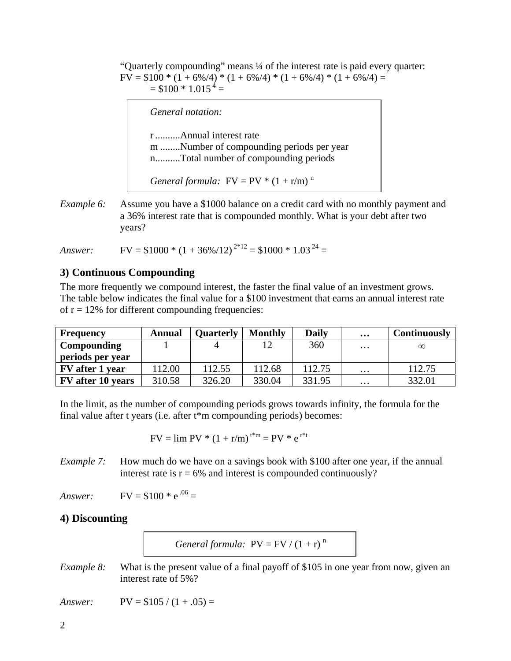"Quarterly compounding" means ¼ of the interest rate is paid every quarter:  $FV = $100 * (1 + 6\%/4) * (1 + 6\%/4) * (1 + 6\%/4) * (1 + 6\%/4) =$  $= $100 * 1.015^{4} =$ 

*General notation:*  r ..........Annual interest rate m ........Number of compounding periods per year n..........Total number of compounding periods *General formula:*  $FV = PV * (1 + r/m)^n$ 

*Example 6:* Assume you have a \$1000 balance on a credit card with no monthly payment and a 36% interest rate that is compounded monthly. What is your debt after two years?

*Answer:*  $FV = $1000 * (1 + 36\%/12)^{2*12} = $1000 * 1.03^{24} =$ 

## **3) Continuous Compounding**

The more frequently we compound interest, the faster the final value of an investment grows. The table below indicates the final value for a \$100 investment that earns an annual interest rate of  $r = 12\%$  for different compounding frequencies:

| <b>Frequency</b>         | Annual | <b>Quarterly</b> | <b>Monthly</b> | <b>Daily</b> | $\cdots$ | <b>Continuously</b> |
|--------------------------|--------|------------------|----------------|--------------|----------|---------------------|
| Compounding              |        |                  |                | 360          | $\cdots$ | $\infty$            |
| periods per year         |        |                  |                |              |          |                     |
| FV after 1 year          | 12.00  | 112.55           | 112.68         | 112.75       | $\cdots$ | 112.75              |
| <b>FV</b> after 10 years | 310.58 | 326.20           | 330.04         | 331.95       | $\cdots$ | 332.01              |

In the limit, as the number of compounding periods grows towards infinity, the formula for the final value after t years (i.e. after t\*m compounding periods) becomes:

$$
FV = \lim PV * (1 + r/m)^{t^*m} = PV * e^{r^*t}
$$

*Example 7:* How much do we have on a savings book with \$100 after one year, if the annual interest rate is  $r = 6\%$  and interest is compounded continuously?

*Answer:*  $FV = $100 * e^{-0.06} =$ 

## **4) Discounting**

*General formula:*  $PV = FV / (1 + r)^{n}$ 

*Example 8:* What is the present value of a final payoff of \$105 in one year from now, given an interest rate of 5%?

*Answer:*  $PV = $105 / (1 + .05) =$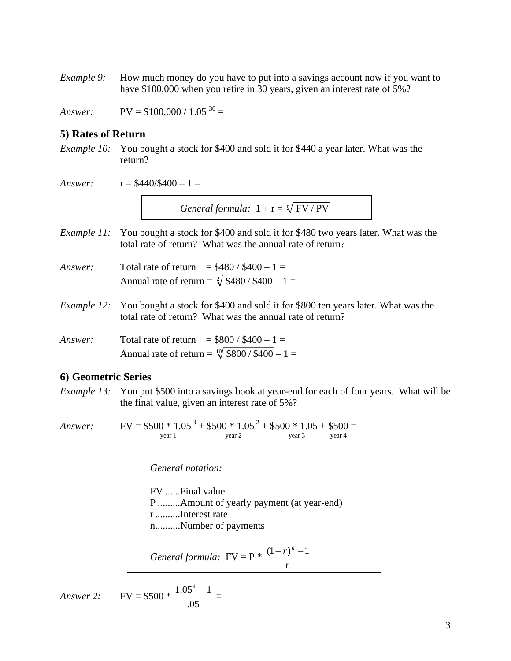*Example 9:* How much money do you have to put into a savings account now if you want to have \$100,000 when you retire in 30 years, given an interest rate of 5%?

*Answer:*  $PV = $100,000 / 1.05^{30} =$ 

## **5) Rates of Return**

*Example 10:* You bought a stock for \$400 and sold it for \$440 a year later. What was the return?

| Answer: | $r = $440 \div 400 - 1 =$                                  |  |  |  |  |
|---------|------------------------------------------------------------|--|--|--|--|
|         | General formula: $1 + r = \sqrt[n]{\text{FV}} / \text{PV}$ |  |  |  |  |
|         |                                                            |  |  |  |  |

*Example 11:* You bought a stock for \$400 and sold it for \$480 two years later. What was the total rate of return? What was the annual rate of return?

*Answer:* Total rate of return =  $$480 / $400 - 1 =$ Annual rate of return =  $\sqrt[2]{\$480 \cdot \$400} - 1 =$ 

*Example 12:* You bought a stock for \$400 and sold it for \$800 ten years later. What was the total rate of return? What was the annual rate of return?

| Answer: | Total rate of return $= $800 / $400 - 1 =$                   |
|---------|--------------------------------------------------------------|
|         | Annual rate of return = $\sqrt[10]{\$800 \cdot \$400} - 1 =$ |

## **6) Geometric Series**

*Example 13:* You put \$500 into a savings book at year-end for each of four years. What will be the final value, given an interest rate of 5%?

*Answer:*  $FV = $500 * 1.05^3 + $500 * 1.05^2 + $500 * 1.05 + $500 =$ year 1 year 2 year 3 year 4

*General notation:* 

FV ......Final value P .........Amount of yearly payment (at year-end) r ..........Interest rate n..........Number of payments

*General formula:*  $FV = P^*$ *r*  $(1 + r)^n - 1$ 

Answer 2: 
$$
FV = $500 * \frac{1.05^4 - 1}{.05} =
$$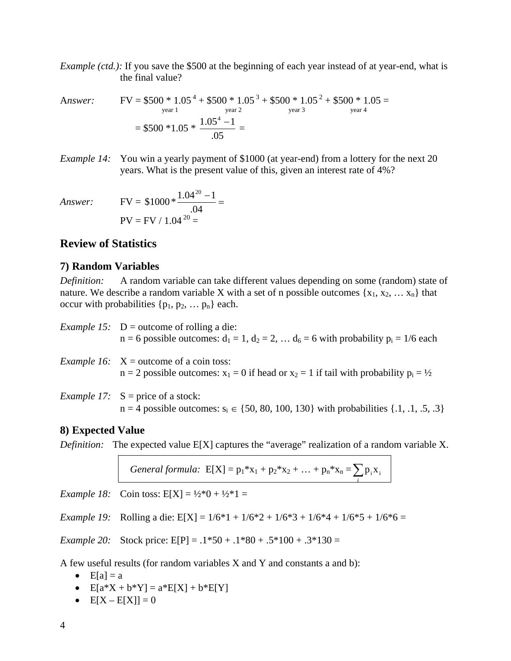*Example (ctd.):* If you save the \$500 at the beginning of each year instead of at year-end, what is the final value?

Answer: FV =  $$500 * 1.05^4 + $500 * 1.05^3 + $500 * 1.05^2 + $500 * 1.05 =$ year 1 year 2 year 3 year 4  $= $500 *1.05 * \frac{1.05}{.05}$  $\frac{1.05^4 - 1}{2.5} =$ 

*Example 14:* You win a yearly payment of \$1000 (at year-end) from a lottery for the next 20 years. What is the present value of this, given an interest rate of 4%?

*Answer:*  $FV = $1000 * \frac{1.04^{20} - 1}{200} =$ .04  $$1000 * 1.04^{20} - 1$  $PV = FV / 1.04^{20} =$ 

## **Review of Statistics**

#### **7) Random Variables**

*Definition:* A random variable can take different values depending on some (random) state of nature. We describe a random variable X with a set of n possible outcomes  $\{x_1, x_2, \ldots x_n\}$  that occur with probabilities  $\{p_1, p_2, \dots, p_n\}$  each.

| <i>Example 15:</i> $D =$ outcome of rolling a die:<br>$n = 6$ possible outcomes: $d_1 = 1$ , $d_2 = 2$ , $d_6 = 6$ with probability $p_i = 1/6$ each       |
|------------------------------------------------------------------------------------------------------------------------------------------------------------|
| <i>Example 16:</i> $X =$ outcome of a coin toss:<br>$n = 2$ possible outcomes: $x_1 = 0$ if head or $x_2 = 1$ if tail with probability $p_i = \frac{1}{2}$ |

*Example 17:*  $S = price of a stock:$  $n = 4$  possible outcomes:  $s_i \in \{50, 80, 100, 130\}$  with probabilities  $\{.1, .1, .5, .3\}$ 

#### **8) Expected Value**

*Definition:* The expected value E[X] captures the "average" realization of a random variable X.

*General formula:* 
$$
E[X] = p_1 * x_1 + p_2 * x_2 + ... + p_n * x_n = \sum_i p_i x_i
$$

*Example 18:* Coin toss:  $E[X] = \frac{1}{2} \times 0 + \frac{1}{2} \times 1 =$ 

*Example 19:* Rolling a die:  $E[X] = 1/6*1 + 1/6*2 + 1/6*3 + 1/6*4 + 1/6*5 + 1/6*6 =$ 

*Example 20:* Stock price:  $E[P] = .1*50 + .1*80 + .5*100 + .3*130 =$ 

A few useful results (for random variables X and Y and constants a and b):

- $\bullet$  E[a] = a
- $E[a*K + b*Y] = a*E[X] + b*E[Y]$
- $\bullet$  E[X E[X]] = 0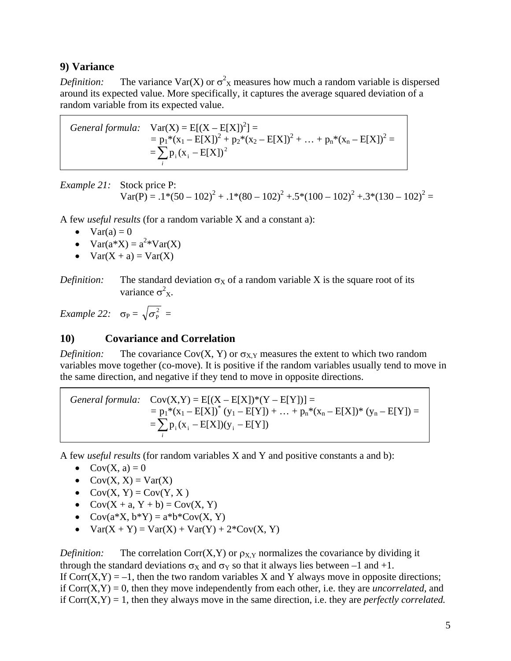## **9) Variance**

*Definition:* The variance Var(X) or  $\sigma_X^2$  measures how much a random variable is dispersed around its expected value. More specifically, it captures the average squared deviation of a random variable from its expected value.

*General formula:*  $Var(X) = E[(X - E[X])^2] =$  $= p_1 * (x_1 - E[X])^2 + p_2 * (x_2 - E[X])^2 + ... + p_n * (x_n - E[X])^2 =$  $=\sum_{i} p_i (x_i - E[X])^2$ 

*Example 21:* Stock price P:

 $Var(P) = .1*(50 - 102)^{2} + .1*(80 - 102)^{2} + .5*(100 - 102)^{2} + .3*(130 - 102)^{2} =$ 

A few *useful results* (for a random variable X and a constant a):

- $\bullet$  Var(a) = 0
- $Var(a*K) = a^{2*}Var(X)$
- $Var(X + a) = Var(X)$

*Definition:* The standard deviation  $\sigma_X$  of a random variable X is the square root of its variance  $\sigma^2$ <sub>X</sub>.

*Example* 22:  $\sigma_P = \sqrt{\sigma_P^2} =$ 

## **10) Covariance and Correlation**

*Definition:* The covariance Cov(X, Y) or  $\sigma_{X,Y}$  measures the extent to which two random variables move together (co-move). It is positive if the random variables usually tend to move in the same direction, and negative if they tend to move in opposite directions.

*General formula:*  $Cov(X, Y) = E[(X - E[X])^*(Y - E[Y])] =$  $= p_1 * (x_1 - E[X])^* (y_1 - E[Y]) + ... + p_n * (x_n - E[X])^* (y_n - E[Y]) =$  $=\sum_{i} p_i (x_i - E[X])(y_i - E[Y])$ 

A few *useful results* (for random variables X and Y and positive constants a and b):

- $\bullet$  Cov(X, a) = 0
- $Cov(X, X) = Var(X)$
- $\bullet$  Cov(X, Y) = Cov(Y, X)
- $Cov(X + a, Y + b) = Cov(X, Y)$
- $Cov(a*K, b*Y) = a*b*Cov(X, Y)$
- $Var(X + Y) = Var(X) + Var(Y) + 2*Cov(X, Y)$

*Definition:* The correlation Corr(X,Y) or  $\rho_{X,Y}$  normalizes the covariance by dividing it through the standard deviations  $\sigma_X$  and  $\sigma_Y$  so that it always lies between –1 and +1. If  $Corr(X, Y) = -1$ , then the two random variables X and Y always move in opposite directions; if  $Corr(X, Y) = 0$ , then they move independently from each other, i.e. they are *uncorrelated*, and if Corr(X,Y) = 1, then they always move in the same direction, i.e. they are *perfectly correlated.*